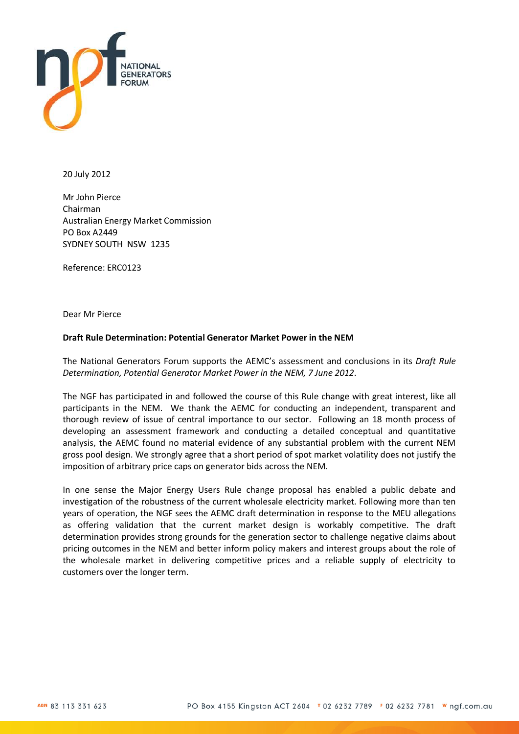

20 July 2012

Mr John Pierce Chairman Australian Energy Market Commission PO Box A2449 SYDNEY SOUTH NSW 1235

Reference: ERC0123

Dear Mr Pierce

#### **Draft Rule Determination: Potential Generator Market Power in the NEM**

The National Generators Forum supports the AEMC's assessment and conclusions in its *Draft Rule Determination, Potential Generator Market Power in the NEM, 7 June 2012*.

The NGF has participated in and followed the course of this Rule change with great interest, like all participants in the NEM. We thank the AEMC for conducting an independent, transparent and thorough review of issue of central importance to our sector. Following an 18 month process of developing an assessment framework and conducting a detailed conceptual and quantitative analysis, the AEMC found no material evidence of any substantial problem with the current NEM gross pool design. We strongly agree that a short period of spot market volatility does not justify the imposition of arbitrary price caps on generator bids across the NEM.

In one sense the Major Energy Users Rule change proposal has enabled a public debate and investigation of the robustness of the current wholesale electricity market. Following more than ten years of operation, the NGF sees the AEMC draft determination in response to the MEU allegations as offering validation that the current market design is workably competitive. The draft determination provides strong grounds for the generation sector to challenge negative claims about pricing outcomes in the NEM and better inform policy makers and interest groups about the role of the wholesale market in delivering competitive prices and a reliable supply of electricity to customers over the longer term.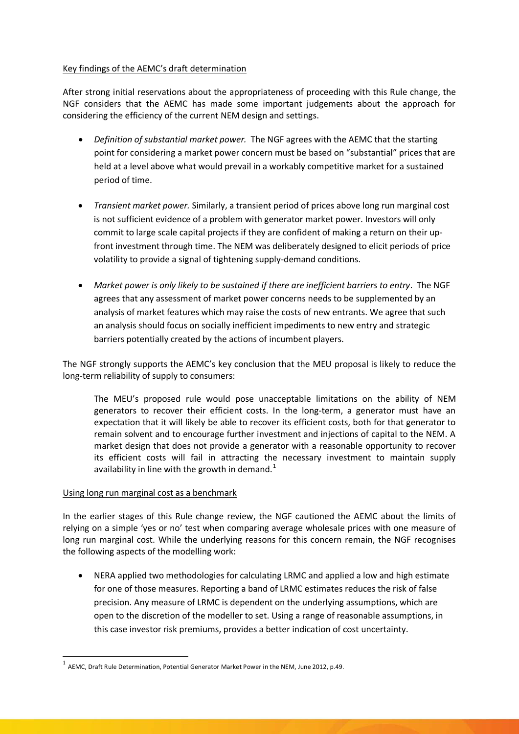## Key findings of the AEMC's draft determination

After strong initial reservations about the appropriateness of proceeding with this Rule change, the NGF considers that the AEMC has made some important judgements about the approach for considering the efficiency of the current NEM design and settings.

- *Definition of substantial market power.* The NGF agrees with the AEMC that the starting point for considering a market power concern must be based on "substantial" prices that are held at a level above what would prevail in a workably competitive market for a sustained period of time.
- *Transient market power.* Similarly, a transient period of prices above long run marginal cost is not sufficient evidence of a problem with generator market power. Investors will only commit to large scale capital projects if they are confident of making a return on their upfront investment through time. The NEM was deliberately designed to elicit periods of price volatility to provide a signal of tightening supply-demand conditions.
- *Market power is only likely to be sustained if there are inefficient barriers to entry*. The NGF agrees that any assessment of market power concerns needs to be supplemented by an analysis of market features which may raise the costs of new entrants. We agree that such an analysis should focus on socially inefficient impediments to new entry and strategic barriers potentially created by the actions of incumbent players.

The NGF strongly supports the AEMC's key conclusion that the MEU proposal is likely to reduce the long-term reliability of supply to consumers:

The MEU's proposed rule would pose unacceptable limitations on the ability of NEM generators to recover their efficient costs. In the long-term, a generator must have an expectation that it will likely be able to recover its efficient costs, both for that generator to remain solvent and to encourage further investment and injections of capital to the NEM. A market design that does not provide a generator with a reasonable opportunity to recover its efficient costs will fail in attracting the necessary investment to maintain supply availability in line with the growth in demand.<sup>[1](#page-1-0)</sup>

#### Using long run marginal cost as a benchmark

In the earlier stages of this Rule change review, the NGF cautioned the AEMC about the limits of relying on a simple 'yes or no' test when comparing average wholesale prices with one measure of long run marginal cost. While the underlying reasons for this concern remain, the NGF recognises the following aspects of the modelling work:

• NERA applied two methodologies for calculating LRMC and applied a low and high estimate for one of those measures. Reporting a band of LRMC estimates reduces the risk of false precision. Any measure of LRMC is dependent on the underlying assumptions, which are open to the discretion of the modeller to set. Using a range of reasonable assumptions, in this case investor risk premiums, provides a better indication of cost uncertainty.

<span id="page-1-0"></span> $^{-1}$  AEMC. Draft Rule Determination, Potential Generator Market Power in the NEM, June 2012, p.49.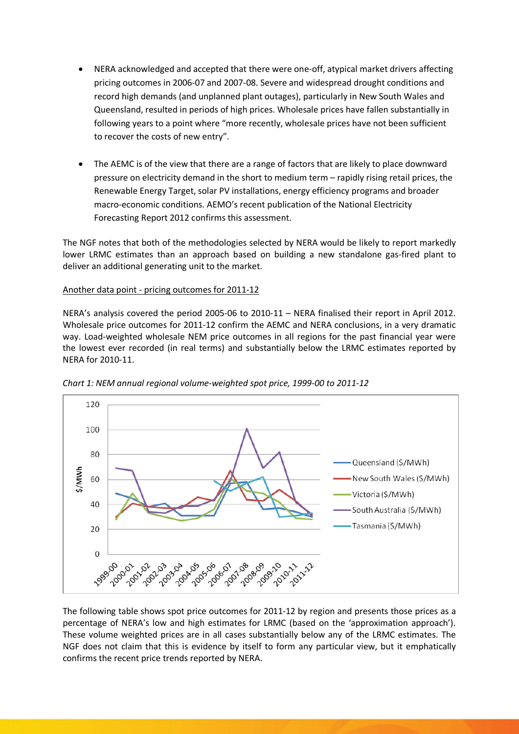- NERA acknowledged and accepted that there were one-off, atypical market drivers affecting pricing outcomes in 2006-07 and 2007-08. Severe and widespread drought conditions and record high demands (and unplanned plant outages), particularly in New South Wales and Queensland, resulted in periods of high prices. Wholesale prices have fallen substantially in following years to a point where "more recently, wholesale prices have not been sufficient to recover the costs of new entry".
- The AEMC is of the view that there are a range of factors that are likely to place downward pressure on electricity demand in the short to medium term – rapidly rising retail prices, the Renewable Energy Target, solar PV installations, energy efficiency programs and broader macro-economic conditions. AEMO's recent publication of the National Electricity Forecasting Report 2012 confirms this assessment.

The NGF notes that both of the methodologies selected by NERA would be likely to report markedly lower LRMC estimates than an approach based on building a new standalone gas-fired plant to deliver an additional generating unit to the market.

## Another data point - pricing outcomes for 2011-12

NERA's analysis covered the period 2005-06 to 2010-11 – NERA finalised their report in April 2012. Wholesale price outcomes for 2011-12 confirm the AEMC and NERA conclusions, in a very dramatic way. Load-weighted wholesale NEM price outcomes in all regions for the past financial year were the lowest ever recorded (in real terms) and substantially below the LRMC estimates reported by NERA for 2010-11.



*Chart 1: NEM annual regional volume-weighted spot price, 1999-00 to 2011-12*

The following table shows spot price outcomes for 2011-12 by region and presents those prices as a percentage of NERA's low and high estimates for LRMC (based on the 'approximation approach'). These volume weighted prices are in all cases substantially below any of the LRMC estimates. The NGF does not claim that this is evidence by itself to form any particular view, but it emphatically confirms the recent price trends reported by NERA.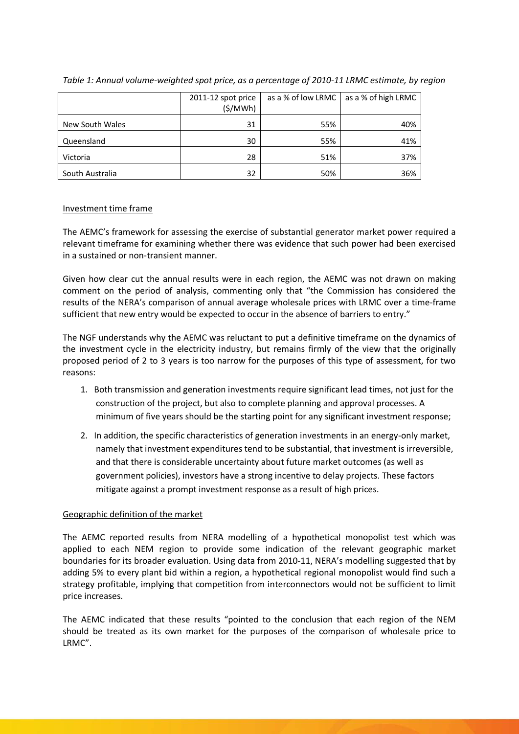|                 | 2011-12 spot price<br>(S/MWh) | as a % of low LRMC | as a % of high LRMC |
|-----------------|-------------------------------|--------------------|---------------------|
| New South Wales | 31                            | 55%                | 40%                 |
| Queensland      | 30                            | 55%                | 41%                 |
| Victoria        | 28                            | 51%                | 37%                 |
| South Australia | 32                            | 50%                | 36%                 |

*Table 1: Annual volume-weighted spot price, as a percentage of 2010-11 LRMC estimate, by region*

## Investment time frame

The AEMC's framework for assessing the exercise of substantial generator market power required a relevant timeframe for examining whether there was evidence that such power had been exercised in a sustained or non-transient manner.

Given how clear cut the annual results were in each region, the AEMC was not drawn on making comment on the period of analysis, commenting only that "the Commission has considered the results of the NERA's comparison of annual average wholesale prices with LRMC over a time-frame sufficient that new entry would be expected to occur in the absence of barriers to entry."

The NGF understands why the AEMC was reluctant to put a definitive timeframe on the dynamics of the investment cycle in the electricity industry, but remains firmly of the view that the originally proposed period of 2 to 3 years is too narrow for the purposes of this type of assessment, for two reasons:

- 1. Both transmission and generation investments require significant lead times, not just for the construction of the project, but also to complete planning and approval processes. A minimum of five years should be the starting point for any significant investment response;
- 2. In addition, the specific characteristics of generation investments in an energy-only market, namely that investment expenditures tend to be substantial, that investment is irreversible, and that there is considerable uncertainty about future market outcomes (as well as government policies), investors have a strong incentive to delay projects. These factors mitigate against a prompt investment response as a result of high prices.

# Geographic definition of the market

The AEMC reported results from NERA modelling of a hypothetical monopolist test which was applied to each NEM region to provide some indication of the relevant geographic market boundaries for its broader evaluation. Using data from 2010-11, NERA's modelling suggested that by adding 5% to every plant bid within a region, a hypothetical regional monopolist would find such a strategy profitable, implying that competition from interconnectors would not be sufficient to limit price increases.

The AEMC indicated that these results "pointed to the conclusion that each region of the NEM should be treated as its own market for the purposes of the comparison of wholesale price to LRMC".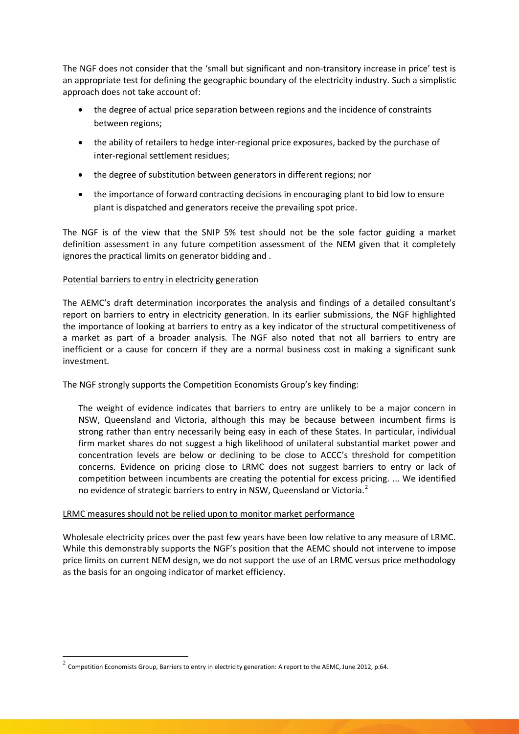The NGF does not consider that the 'small but significant and non-transitory increase in price' test is an appropriate test for defining the geographic boundary of the electricity industry. Such a simplistic approach does not take account of:

- the degree of actual price separation between regions and the incidence of constraints between regions;
- the ability of retailers to hedge inter-regional price exposures, backed by the purchase of inter-regional settlement residues;
- the degree of substitution between generators in different regions; nor
- the importance of forward contracting decisions in encouraging plant to bid low to ensure plant is dispatched and generators receive the prevailing spot price.

The NGF is of the view that the SNIP 5% test should not be the sole factor guiding a market definition assessment in any future competition assessment of the NEM given that it completely ignores the practical limits on generator bidding and .

## Potential barriers to entry in electricity generation

The AEMC's draft determination incorporates the analysis and findings of a detailed consultant's report on barriers to entry in electricity generation. In its earlier submissions, the NGF highlighted the importance of looking at barriers to entry as a key indicator of the structural competitiveness of a market as part of a broader analysis. The NGF also noted that not all barriers to entry are inefficient or a cause for concern if they are a normal business cost in making a significant sunk investment.

The NGF strongly supports the Competition Economists Group's key finding:

The weight of evidence indicates that barriers to entry are unlikely to be a major concern in NSW, Queensland and Victoria, although this may be because between incumbent firms is strong rather than entry necessarily being easy in each of these States. In particular, individual firm market shares do not suggest a high likelihood of unilateral substantial market power and concentration levels are below or declining to be close to ACCC's threshold for competition concerns. Evidence on pricing close to LRMC does not suggest barriers to entry or lack of competition between incumbents are creating the potential for excess pricing. ... We identified no evidence of strategic barriers to entry in NSW, Queensland or Victoria.<sup>[2](#page-4-0)</sup>

#### LRMC measures should not be relied upon to monitor market performance

Wholesale electricity prices over the past few years have been low relative to any measure of LRMC. While this demonstrably supports the NGF's position that the AEMC should not intervene to impose price limits on current NEM design, we do not support the use of an LRMC versus price methodology as the basis for an ongoing indicator of market efficiency.

<span id="page-4-0"></span> $2$  Competition Economists Group, Barriers to entry in electricity generation: A report to the AEMC, June 2012, p.64.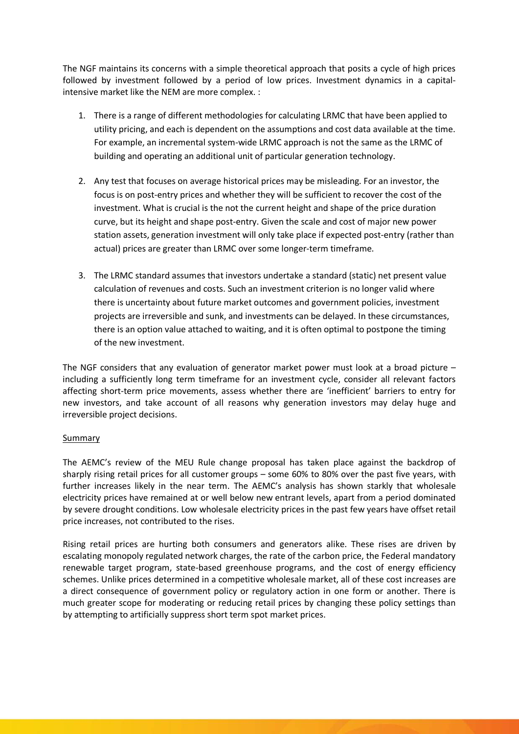The NGF maintains its concerns with a simple theoretical approach that posits a cycle of high prices followed by investment followed by a period of low prices. Investment dynamics in a capitalintensive market like the NEM are more complex. :

- 1. There is a range of different methodologies for calculating LRMC that have been applied to utility pricing, and each is dependent on the assumptions and cost data available at the time. For example, an incremental system-wide LRMC approach is not the same as the LRMC of building and operating an additional unit of particular generation technology.
- 2. Any test that focuses on average historical prices may be misleading. For an investor, the focus is on post-entry prices and whether they will be sufficient to recover the cost of the investment. What is crucial is the not the current height and shape of the price duration curve, but its height and shape post-entry. Given the scale and cost of major new power station assets, generation investment will only take place if expected post-entry (rather than actual) prices are greater than LRMC over some longer-term timeframe.
- 3. The LRMC standard assumes that investors undertake a standard (static) net present value calculation of revenues and costs. Such an investment criterion is no longer valid where there is uncertainty about future market outcomes and government policies, investment projects are irreversible and sunk, and investments can be delayed. In these circumstances, there is an option value attached to waiting, and it is often optimal to postpone the timing of the new investment.

The NGF considers that any evaluation of generator market power must look at a broad picture – including a sufficiently long term timeframe for an investment cycle, consider all relevant factors affecting short-term price movements, assess whether there are 'inefficient' barriers to entry for new investors, and take account of all reasons why generation investors may delay huge and irreversible project decisions.

#### Summary

The AEMC's review of the MEU Rule change proposal has taken place against the backdrop of sharply rising retail prices for all customer groups – some 60% to 80% over the past five years, with further increases likely in the near term. The AEMC's analysis has shown starkly that wholesale electricity prices have remained at or well below new entrant levels, apart from a period dominated by severe drought conditions. Low wholesale electricity prices in the past few years have offset retail price increases, not contributed to the rises.

Rising retail prices are hurting both consumers and generators alike. These rises are driven by escalating monopoly regulated network charges, the rate of the carbon price, the Federal mandatory renewable target program, state-based greenhouse programs, and the cost of energy efficiency schemes. Unlike prices determined in a competitive wholesale market, all of these cost increases are a direct consequence of government policy or regulatory action in one form or another. There is much greater scope for moderating or reducing retail prices by changing these policy settings than by attempting to artificially suppress short term spot market prices.